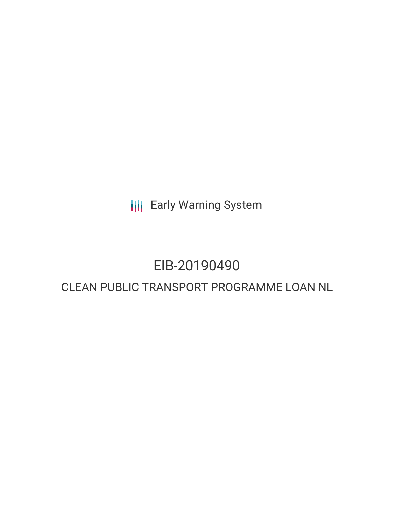**III** Early Warning System

## EIB-20190490

### CLEAN PUBLIC TRANSPORT PROGRAMME LOAN NL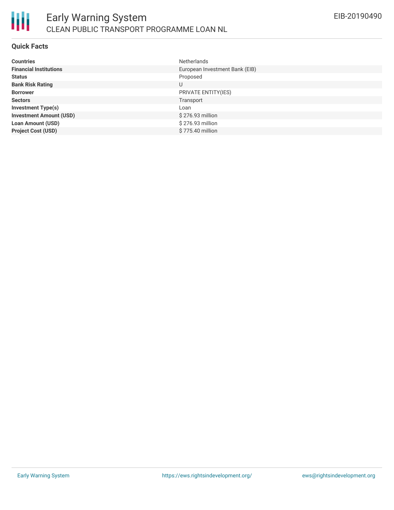

### **Quick Facts**

| <b>Countries</b>               | <b>Netherlands</b>             |
|--------------------------------|--------------------------------|
| <b>Financial Institutions</b>  | European Investment Bank (EIB) |
| <b>Status</b>                  | Proposed                       |
| <b>Bank Risk Rating</b>        | U                              |
| <b>Borrower</b>                | PRIVATE ENTITY(IES)            |
| <b>Sectors</b>                 | Transport                      |
| <b>Investment Type(s)</b>      | Loan                           |
| <b>Investment Amount (USD)</b> | \$276.93 million               |
| <b>Loan Amount (USD)</b>       | \$276.93 million               |
| <b>Project Cost (USD)</b>      | \$775.40 million               |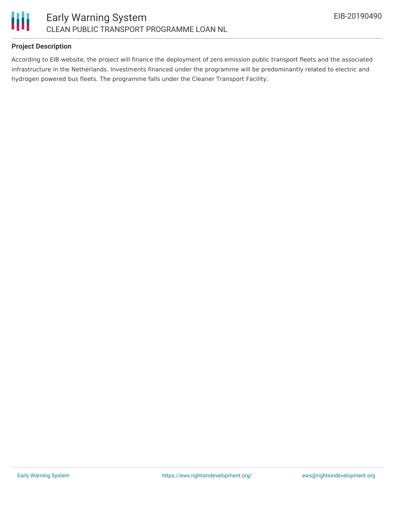

### **Project Description**

According to EIB website, the project will finance the deployment of zero emission public transport fleets and the associated infrastructure in the Netherlands. Investments financed under the programme will be predominantly related to electric and hydrogen powered bus fleets. The programme falls under the Cleaner Transport Facility.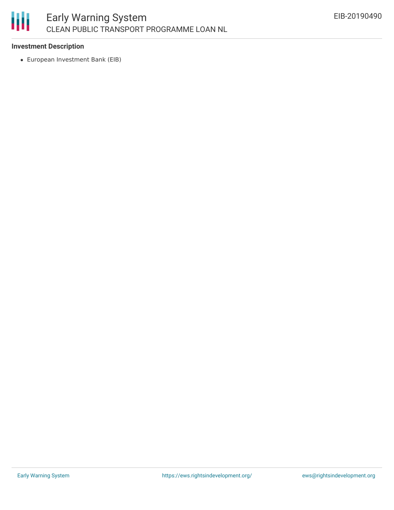# 朋

### **Investment Description**

European Investment Bank (EIB)